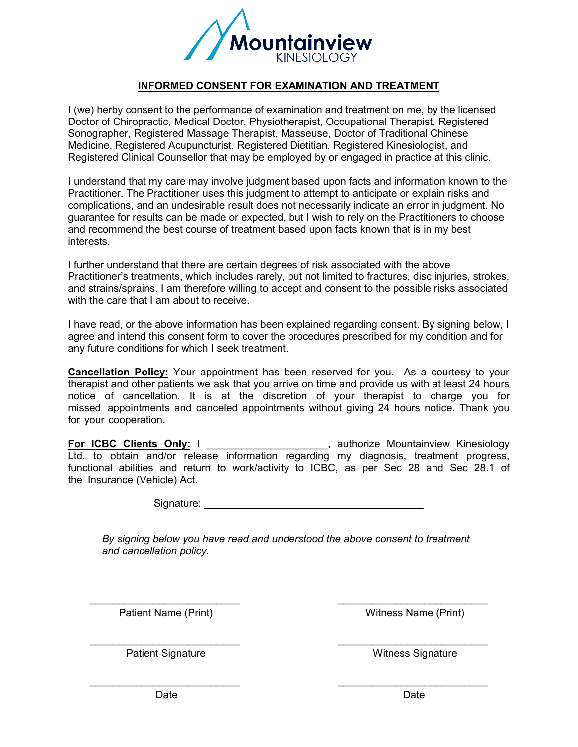

## **INFORMED CONSENT FOR EXAMINATION AND TREATMENT**

I (we) herby consent to the performance of examination and treatment on me, by the licensed Doctor of Chiropractic, Medical Doctor, Physiotherapist, Occupational Therapist, Registered Sonographer, Registered Massage Therapist, Masseuse, Doctor of Traditional Chinese Medicine, Registered Acupuncturist, Registered Dietitian, Registered Kinesiologist, and Registered Clinical Counsellor that may be employed by or engaged in practice at this clinic.

I understand that my care may involve judgment based upon facts and information known to the Practitioner. The Practitioner uses this judgment to attempt to anticipate or explain risks and complications, and an undesirable result does not necessarily indicate an error in judgment. No guarantee for results can be made or expected, but I wish to rely on the Practitioners to choose and recommend the best course of treatment based upon facts known that is in my best interests.

I further understand that there are certain degrees of risk associated with the above Practitioner's treatments, which includes rarely, but not limited to fractures, disc injuries, strokes, and strains/sprains. I am therefore willing to accept and consent to the possible risks associated with the care that I am about to receive.

I have read, or the above information has been explained regarding consent. By signing below, I agree and intend this consent form to cover the procedures prescribed for my condition and for any future conditions for which I seek treatment.

**Cancellation Policy:** Your appointment has been reserved for you. As a courtesy to your therapist and other patients we ask that you arrive on time and provide us with at least 24 hours notice of cancellation. It is at the discretion of your therapist to charge you for missed appointments and canceled appointments without giving 24 hours notice. Thank you for your cooperation.

**For ICBC Clients Only:** I \_\_\_\_\_\_\_\_\_\_\_\_\_\_\_\_\_\_\_\_\_, authorize Mountainview Kinesiology Ltd. to obtain and/or release information regarding my diagnosis, treatment progress, functional abilities and return to work/activity to ICBC, as per Sec 28 and Sec 28.1 of the Insurance (Vehicle) Act.

Signature:  $\Box$ 

*By signing below you have read and understood the above consent to treatment and cancellation policy.*

\_\_\_\_\_\_\_\_\_\_\_\_\_\_\_\_\_\_\_\_\_\_\_\_\_\_ \_\_\_\_\_\_\_\_\_\_\_\_\_\_\_\_\_\_\_\_\_\_\_\_\_\_

\_\_\_\_\_\_\_\_\_\_\_\_\_\_\_\_\_\_\_\_\_\_\_\_\_\_ \_\_\_\_\_\_\_\_\_\_\_\_\_\_\_\_\_\_\_\_\_\_\_\_\_\_

\_\_\_\_\_\_\_\_\_\_\_\_\_\_\_\_\_\_\_\_\_\_\_\_\_\_ \_\_\_\_\_\_\_\_\_\_\_\_\_\_\_\_\_\_\_\_\_\_\_\_\_\_

Patient Name (Print) Name (Print) Witness Name (Print)

Patient Signature **National Signature Witness Signature** Witness Signature

Date **Date Date Date Date Date**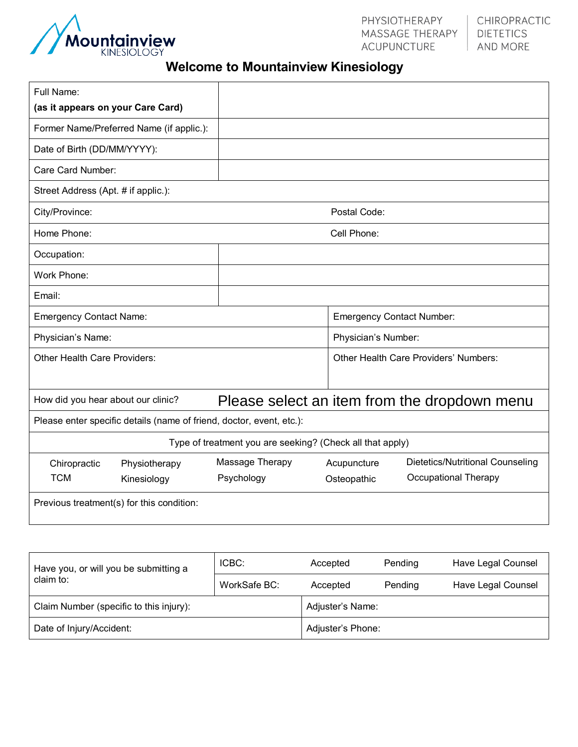

## **Welcome to Mountainview Kinesiology**

| Full Name:                                                                                                 |                                                           |                                       |                                  |  |
|------------------------------------------------------------------------------------------------------------|-----------------------------------------------------------|---------------------------------------|----------------------------------|--|
| (as it appears on your Care Card)                                                                          |                                                           |                                       |                                  |  |
| Former Name/Preferred Name (if applic.):                                                                   |                                                           |                                       |                                  |  |
| Date of Birth (DD/MM/YYYY):                                                                                |                                                           |                                       |                                  |  |
| Care Card Number:                                                                                          |                                                           |                                       |                                  |  |
| Street Address (Apt. # if applic.):                                                                        |                                                           |                                       |                                  |  |
| City/Province:                                                                                             | Postal Code:                                              |                                       |                                  |  |
| Home Phone:                                                                                                | Cell Phone:                                               |                                       |                                  |  |
| Occupation:                                                                                                |                                                           |                                       |                                  |  |
| Work Phone:                                                                                                |                                                           |                                       |                                  |  |
| Email:                                                                                                     |                                                           |                                       |                                  |  |
| <b>Emergency Contact Name:</b>                                                                             |                                                           | <b>Emergency Contact Number:</b>      |                                  |  |
| Physician's Name:                                                                                          |                                                           | Physician's Number:                   |                                  |  |
| Other Health Care Providers:                                                                               |                                                           | Other Health Care Providers' Numbers: |                                  |  |
|                                                                                                            |                                                           |                                       |                                  |  |
| How did you hear about our clinic?<br>Please select an item from the dropdown menu<br>$\blacktriangledown$ |                                                           |                                       |                                  |  |
| Please enter specific details (name of friend, doctor, event, etc.):                                       |                                                           |                                       |                                  |  |
|                                                                                                            | Type of treatment you are seeking? (Check all that apply) |                                       |                                  |  |
| Chiropractic<br>Physiotherapy                                                                              | Massage Therapy                                           | Acupuncture                           | Dietetics/Nutritional Counseling |  |
| <b>TCM</b><br>Kinesiology                                                                                  | Psychology                                                | Osteopathic                           | Occupational Therapy             |  |
| Previous treatment(s) for this condition:                                                                  |                                                           |                                       |                                  |  |
|                                                                                                            |                                                           |                                       |                                  |  |
|                                                                                                            |                                                           |                                       |                                  |  |

| Have you, or will you be submitting a<br>claim to: | ICBC:        | Accepted          | Pending | Have Legal Counsel |  |
|----------------------------------------------------|--------------|-------------------|---------|--------------------|--|
|                                                    | WorkSafe BC: | Accepted          | Pending | Have Legal Counsel |  |
| Claim Number (specific to this injury):            |              | Adjuster's Name:  |         |                    |  |
| Date of Injury/Accident:                           |              | Adjuster's Phone: |         |                    |  |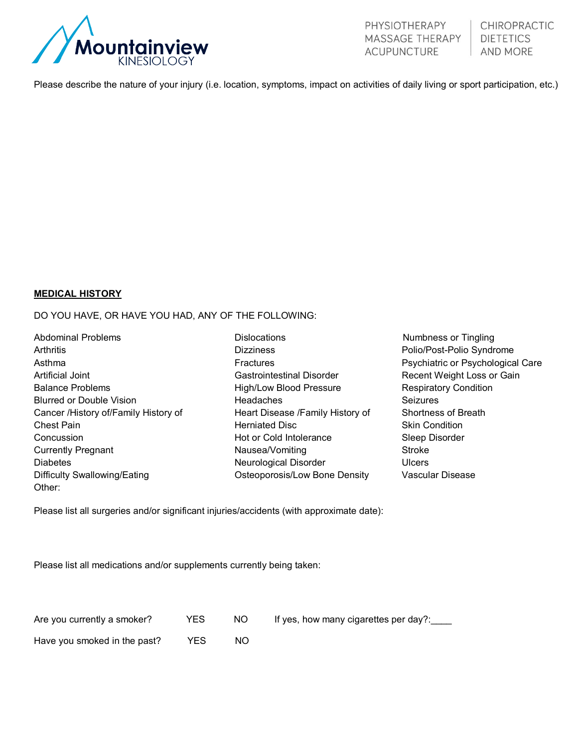

Please describe the nature of your injury (i.e. location, symptoms, impact on activities of daily living or sport participation, etc.)

## **MEDICAL HISTORY**

DO YOU HAVE, OR HAVE YOU HAD, ANY OF THE FOLLOWING:

| Abdominal Problems                   | Dislocations                     | Numbness or Tingling              |
|--------------------------------------|----------------------------------|-----------------------------------|
| Arthritis                            | Dizziness                        | Polio/Post-Polio Syndrome         |
| Asthma                               | <b>Fractures</b>                 | Psychiatric or Psychological Care |
| Artificial Joint                     | Gastrointestinal Disorder        | Recent Weight Loss or Gain        |
| <b>Balance Problems</b>              | High/Low Blood Pressure          | Respiratory Condition             |
| <b>Blurred or Double Vision</b>      | <b>Headaches</b>                 | <b>Seizures</b>                   |
| Cancer /History of/Family History of | Heart Disease /Family History of | Shortness of Breath               |
| Chest Pain                           | Herniated Disc                   | <b>Skin Condition</b>             |
| Concussion                           | Hot or Cold Intolerance          | Sleep Disorder                    |
| Currently Pregnant                   | Nausea/Vomiting                  | <b>Stroke</b>                     |
| Diabetes                             | Neurological Disorder            | <b>Ulcers</b>                     |
| Difficulty Swallowing/Eating         | Osteoporosis/Low Bone Density    | Vascular Disease                  |
| Other:                               |                                  |                                   |

Please list all surgeries and/or significant injuries/accidents (with approximate date):

Please list all medications and/or supplements currently being taken:

| Are you currently a smoker?                  | I YES | INO        | If yes, how many cigarettes per day?: |
|----------------------------------------------|-------|------------|---------------------------------------|
| Have you smoked in the past? $\parallel$ YES |       | <b>INO</b> |                                       |